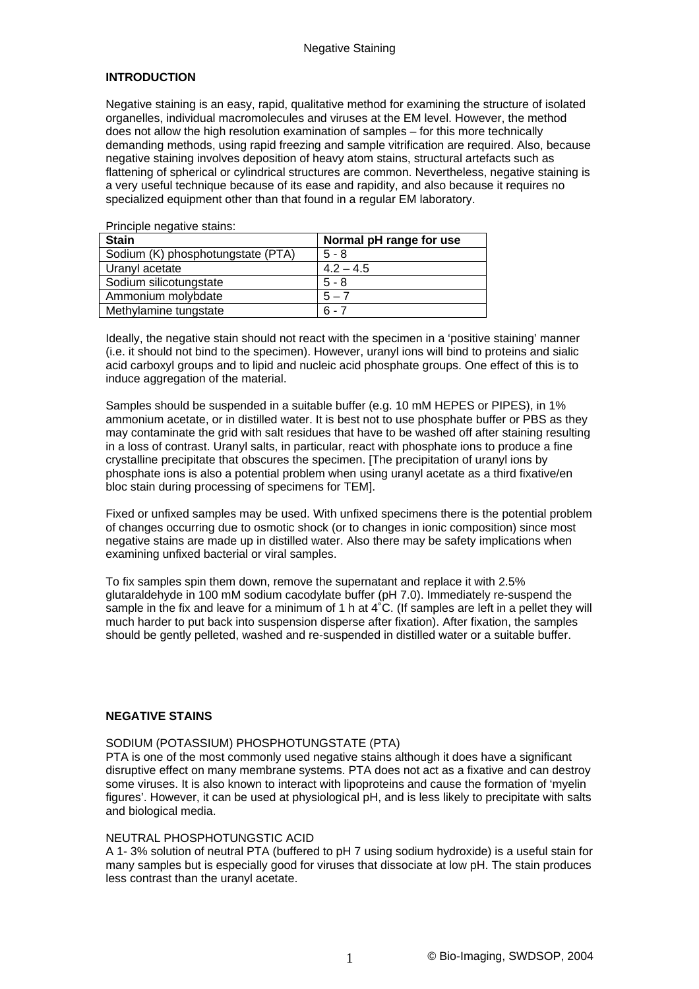# **INTRODUCTION**

Negative staining is an easy, rapid, qualitative method for examining the structure of isolated organelles, individual macromolecules and viruses at the EM level. However, the method does not allow the high resolution examination of samples – for this more technically demanding methods, using rapid freezing and sample vitrification are required. Also, because negative staining involves deposition of heavy atom stains, structural artefacts such as flattening of spherical or cylindrical structures are common. Nevertheless, negative staining is a very useful technique because of its ease and rapidity, and also because it requires no specialized equipment other than that found in a regular EM laboratory.

Principle negative stains:

Ideally, the negative stain should not react with the specimen in a 'positive staining' manner (i.e. it should not bind to the specimen). However, uranyl ions will bind to proteins and sialic acid carboxyl groups and to lipid and nucleic acid phosphate groups. One effect of this is to induce aggregation of the material.

Samples should be suspended in a suitable buffer (e.g. 10 mM HEPES or PIPES), in 1% ammonium acetate, or in distilled water. It is best not to use phosphate buffer or PBS as they may contaminate the grid with salt residues that have to be washed off after staining resulting in a loss of contrast. Uranyl salts, in particular, react with phosphate ions to produce a fine crystalline precipitate that obscures the specimen. [The precipitation of uranyl ions by phosphate ions is also a potential problem when using uranyl acetate as a third fixative/en bloc stain during processing of specimens for TEM].

Fixed or unfixed samples may be used. With unfixed specimens there is the potential problem of changes occurring due to osmotic shock (or to changes in ionic composition) since most negative stains are made up in distilled water. Also there may be safety implications when examining unfixed bacterial or viral samples.

To fix samples spin them down, remove the supernatant and replace it with 2.5% glutaraldehyde in 100 mM sodium cacodylate buffer (pH 7.0). Immediately re-suspend the sample in the fix and leave for a minimum of 1 h at 4°C. (If samples are left in a pellet they will much harder to put back into suspension disperse after fixation). After fixation, the samples should be gently pelleted, washed and re-suspended in distilled water or a suitable buffer.

#### **NEGATIVE STAINS**

### SODIUM (POTASSIUM) PHOSPHOTUNGSTATE (PTA)

PTA is one of the most commonly used negative stains although it does have a significant disruptive effect on many membrane systems. PTA does not act as a fixative and can destroy some viruses. It is also known to interact with lipoproteins and cause the formation of 'myelin figures'. However, it can be used at physiological pH, and is less likely to precipitate with salts and biological media.

#### NEUTRAL PHOSPHOTUNGSTIC ACID

A 1- 3% solution of neutral PTA (buffered to pH 7 using sodium hydroxide) is a useful stain for many samples but is especially good for viruses that dissociate at low pH. The stain produces less contrast than the uranyl acetate.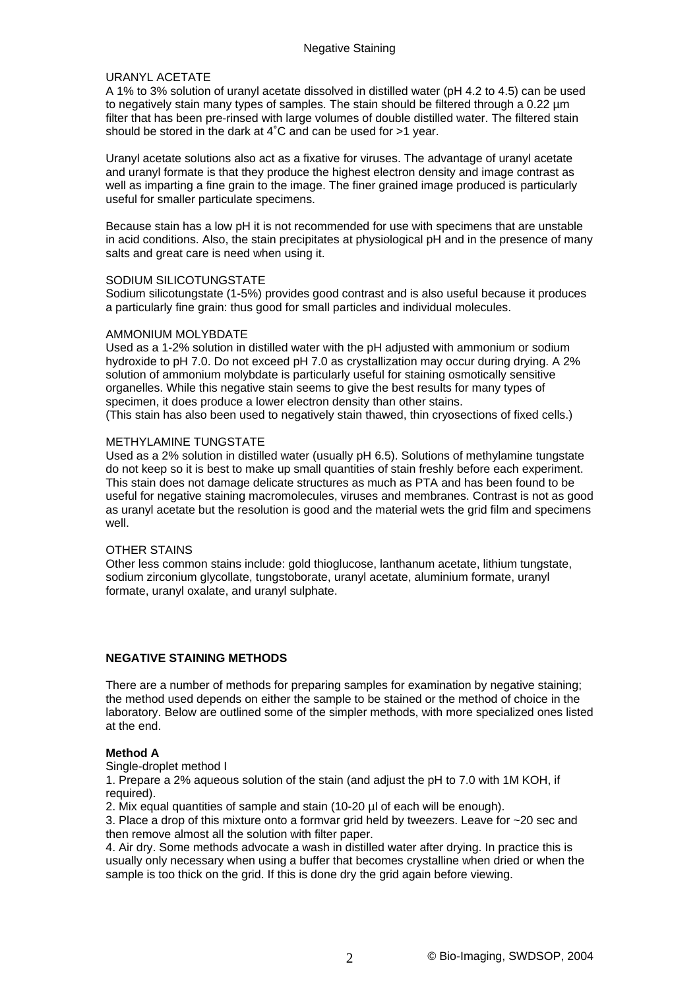## URANYL ACETATE

A 1% to 3% solution of uranyl acetate dissolved in distilled water (pH 4.2 to 4.5) can be used to negatively stain many types of samples. The stain should be filtered through a 0.22 µm filter that has been pre-rinsed with large volumes of double distilled water. The filtered stain should be stored in the dark at 4˚C and can be used for >1 year.

Uranyl acetate solutions also act as a fixative for viruses. The advantage of uranyl acetate and uranyl formate is that they produce the highest electron density and image contrast as well as imparting a fine grain to the image. The finer grained image produced is particularly useful for smaller particulate specimens.

Because stain has a low pH it is not recommended for use with specimens that are unstable in acid conditions. Also, the stain precipitates at physiological pH and in the presence of many salts and great care is need when using it.

### SODIUM SILICOTUNGSTATE

Sodium silicotungstate (1-5%) provides good contrast and is also useful because it produces a particularly fine grain: thus good for small particles and individual molecules.

### AMMONIUM MOLYBDATE

Used as a 1-2% solution in distilled water with the pH adjusted with ammonium or sodium hydroxide to pH 7.0. Do not exceed pH 7.0 as crystallization may occur during drying. A 2% solution of ammonium molybdate is particularly useful for staining osmotically sensitive organelles. While this negative stain seems to give the best results for many types of specimen, it does produce a lower electron density than other stains. (This stain has also been used to negatively stain thawed, thin cryosections of fixed cells.)

### METHYLAMINE TUNGSTATE

Used as a 2% solution in distilled water (usually pH 6.5). Solutions of methylamine tungstate do not keep so it is best to make up small quantities of stain freshly before each experiment. This stain does not damage delicate structures as much as PTA and has been found to be useful for negative staining macromolecules, viruses and membranes. Contrast is not as good as uranyl acetate but the resolution is good and the material wets the grid film and specimens well.

## OTHER STAINS

Other less common stains include: gold thioglucose, lanthanum acetate, lithium tungstate, sodium zirconium glycollate, tungstoborate, uranyl acetate, aluminium formate, uranyl formate, uranyl oxalate, and uranyl sulphate.

## **NEGATIVE STAINING METHODS**

There are a number of methods for preparing samples for examination by negative staining; the method used depends on either the sample to be stained or the method of choice in the laboratory. Below are outlined some of the simpler methods, with more specialized ones listed at the end.

### **Method A**

Single-droplet method I

1. Prepare a 2% aqueous solution of the stain (and adjust the pH to 7.0 with 1M KOH, if required).

2. Mix equal quantities of sample and stain (10-20 µl of each will be enough).

3. Place a drop of this mixture onto a formvar grid held by tweezers. Leave for ~20 sec and then remove almost all the solution with filter paper.

4. Air dry. Some methods advocate a wash in distilled water after drying. In practice this is usually only necessary when using a buffer that becomes crystalline when dried or when the sample is too thick on the grid. If this is done dry the grid again before viewing.